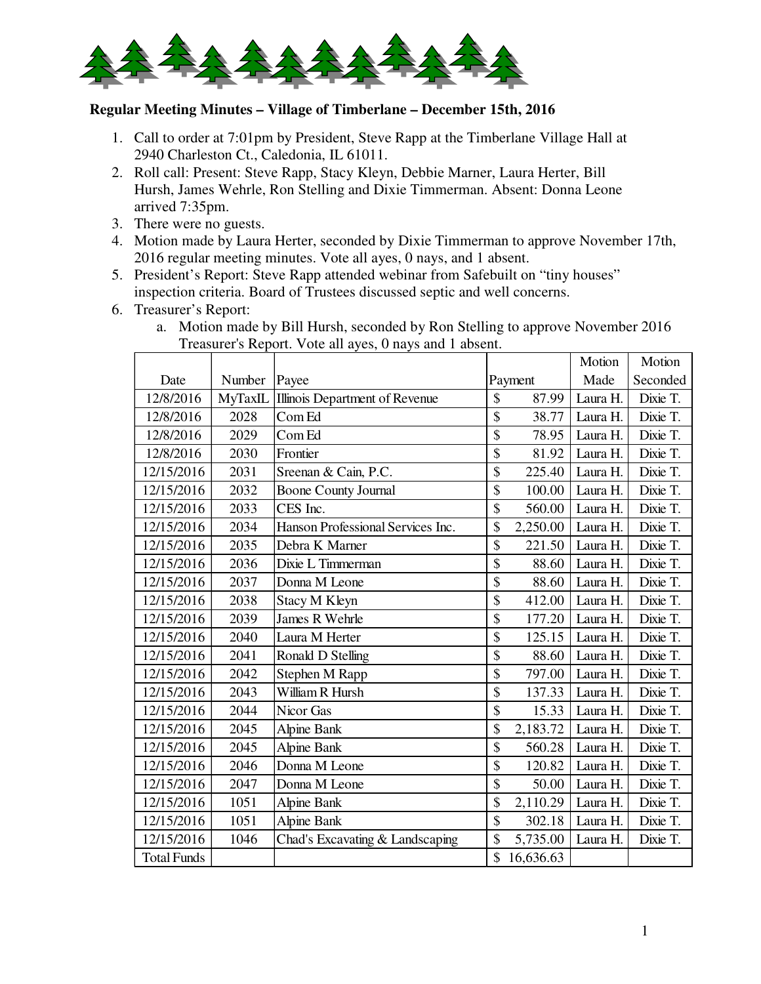

## **Regular Meeting Minutes – Village of Timberlane – December 15th, 2016**

- 1. Call to order at 7:01pm by President, Steve Rapp at the Timberlane Village Hall at 2940 Charleston Ct., Caledonia, IL 61011.
- 2. Roll call: Present: Steve Rapp, Stacy Kleyn, Debbie Marner, Laura Herter, Bill Hursh, James Wehrle, Ron Stelling and Dixie Timmerman. Absent: Donna Leone arrived 7:35pm.
- 3. There were no guests.
- 4. Motion made by Laura Herter, seconded by Dixie Timmerman to approve November 17th, 2016 regular meeting minutes. Vote all ayes, 0 nays, and 1 absent.
- 5. President's Report: Steve Rapp attended webinar from Safebuilt on "tiny houses" inspection criteria. Board of Trustees discussed septic and well concerns.
- 6. Treasurer's Report:
	- a. Motion made by Bill Hursh, seconded by Ron Stelling to approve November 2016 Treasurer's Report. Vote all ayes, 0 nays and 1 absent.

|                    |         |                                   |                          |           | Motion   | Motion   |
|--------------------|---------|-----------------------------------|--------------------------|-----------|----------|----------|
| Date               | Number  | Payee                             |                          | Payment   | Made     | Seconded |
| 12/8/2016          | MyTaxIL | Illinois Department of Revenue    | \$                       | 87.99     | Laura H. | Dixie T. |
| 12/8/2016          | 2028    | Com Ed                            | \$                       | 38.77     | Laura H. | Dixie T. |
| 12/8/2016          | 2029    | Com Ed                            | \$                       | 78.95     | Laura H. | Dixie T. |
| 12/8/2016          | 2030    | Frontier                          | \$                       | 81.92     | Laura H. | Dixie T. |
| 12/15/2016         | 2031    | Sreenan & Cain, P.C.              | \$                       | 225.40    | Laura H. | Dixie T. |
| 12/15/2016         | 2032    | <b>Boone County Journal</b>       | \$                       | 100.00    | Laura H. | Dixie T. |
| 12/15/2016         | 2033    | CES Inc.                          | \$                       | 560.00    | Laura H. | Dixie T. |
| 12/15/2016         | 2034    | Hanson Professional Services Inc. | \$                       | 2,250.00  | Laura H. | Dixie T. |
| 12/15/2016         | 2035    | Debra K Marner                    | $\overline{\$}$          | 221.50    | Laura H. | Dixie T. |
| 12/15/2016         | 2036    | Dixie L Timmerman                 | \$                       | 88.60     | Laura H. | Dixie T. |
| 12/15/2016         | 2037    | Donna M Leone                     | \$                       | 88.60     | Laura H. | Dixie T. |
| 12/15/2016         | 2038    | <b>Stacy M Kleyn</b>              | \$                       | 412.00    | Laura H. | Dixie T. |
| 12/15/2016         | 2039    | James R Wehrle                    | \$                       | 177.20    | Laura H. | Dixie T. |
| 12/15/2016         | 2040    | Laura M Herter                    | \$                       | 125.15    | Laura H. | Dixie T. |
| 12/15/2016         | 2041    | Ronald D Stelling                 | \$                       | 88.60     | Laura H. | Dixie T. |
| 12/15/2016         | 2042    | Stephen M Rapp                    | \$                       | 797.00    | Laura H. | Dixie T. |
| 12/15/2016         | 2043    | William R Hursh                   | \$                       | 137.33    | Laura H. | Dixie T. |
| 12/15/2016         | 2044    | Nicor Gas                         | \$                       | 15.33     | Laura H. | Dixie T. |
| 12/15/2016         | 2045    | <b>Alpine Bank</b>                | \$                       | 2,183.72  | Laura H. | Dixie T. |
| 12/15/2016         | 2045    | <b>Alpine Bank</b>                | \$                       | 560.28    | Laura H. | Dixie T. |
| 12/15/2016         | 2046    | Donna M Leone                     | $\overline{\$}$          | 120.82    | Laura H. | Dixie T. |
| 12/15/2016         | 2047    | Donna M Leone                     | \$                       | 50.00     | Laura H. | Dixie T. |
| 12/15/2016         | 1051    | <b>Alpine Bank</b>                | \$                       | 2,110.29  | Laura H. | Dixie T. |
| 12/15/2016         | 1051    | <b>Alpine Bank</b>                | $\overline{\mathcal{S}}$ | 302.18    | Laura H. | Dixie T. |
| 12/15/2016         | 1046    | Chad's Excavating & Landscaping   | \$                       | 5,735.00  | Laura H. | Dixie T. |
| <b>Total Funds</b> |         |                                   | \$                       | 16,636.63 |          |          |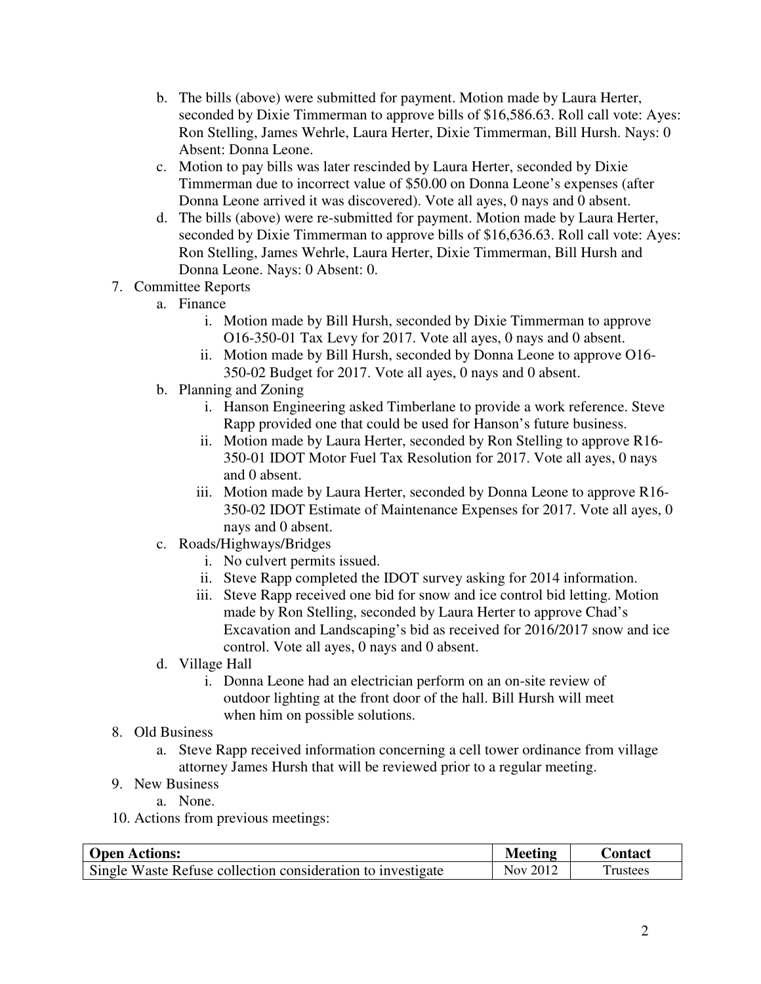- b. The bills (above) were submitted for payment. Motion made by Laura Herter, seconded by Dixie Timmerman to approve bills of \$16,586.63. Roll call vote: Ayes: Ron Stelling, James Wehrle, Laura Herter, Dixie Timmerman, Bill Hursh. Nays: 0 Absent: Donna Leone.
- c. Motion to pay bills was later rescinded by Laura Herter, seconded by Dixie Timmerman due to incorrect value of \$50.00 on Donna Leone's expenses (after Donna Leone arrived it was discovered). Vote all ayes, 0 nays and 0 absent.
- d. The bills (above) were re-submitted for payment. Motion made by Laura Herter, seconded by Dixie Timmerman to approve bills of \$16,636.63. Roll call vote: Ayes: Ron Stelling, James Wehrle, Laura Herter, Dixie Timmerman, Bill Hursh and Donna Leone. Nays: 0 Absent: 0.
- 7. Committee Reports
	- a. Finance
		- i. Motion made by Bill Hursh, seconded by Dixie Timmerman to approve O16-350-01 Tax Levy for 2017. Vote all ayes, 0 nays and 0 absent.
		- ii. Motion made by Bill Hursh, seconded by Donna Leone to approve O16- 350-02 Budget for 2017. Vote all ayes, 0 nays and 0 absent.
	- b. Planning and Zoning
		- i. Hanson Engineering asked Timberlane to provide a work reference. Steve Rapp provided one that could be used for Hanson's future business.
		- ii. Motion made by Laura Herter, seconded by Ron Stelling to approve R16- 350-01 IDOT Motor Fuel Tax Resolution for 2017. Vote all ayes, 0 nays and 0 absent.
		- iii. Motion made by Laura Herter, seconded by Donna Leone to approve R16- 350-02 IDOT Estimate of Maintenance Expenses for 2017. Vote all ayes, 0 nays and 0 absent.
	- c. Roads/Highways/Bridges
		- i. No culvert permits issued.
		- ii. Steve Rapp completed the IDOT survey asking for 2014 information.
		- iii. Steve Rapp received one bid for snow and ice control bid letting. Motion made by Ron Stelling, seconded by Laura Herter to approve Chad's Excavation and Landscaping's bid as received for 2016/2017 snow and ice control. Vote all ayes, 0 nays and 0 absent.
	- d. Village Hall
		- i. Donna Leone had an electrician perform on an on-site review of outdoor lighting at the front door of the hall. Bill Hursh will meet when him on possible solutions.
- 8. Old Business
	- a. Steve Rapp received information concerning a cell tower ordinance from village attorney James Hursh that will be reviewed prior to a regular meeting.
- 9. New Business
	- a. None.
- 10. Actions from previous meetings:

| <b>Open Actions:</b>                                        | <b>Meeting</b> | Contact         |
|-------------------------------------------------------------|----------------|-----------------|
| Single Waste Refuse collection consideration to investigate | Nov 2012       | <b>Trustees</b> |